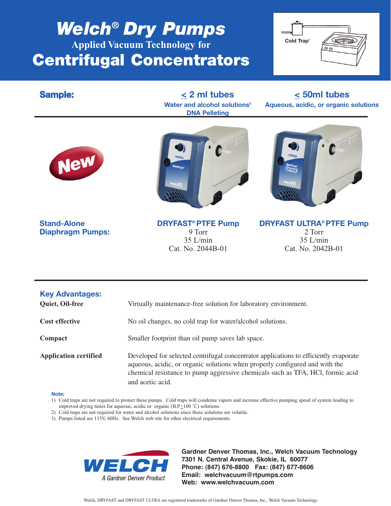# *Welch***®** *Dry Pumps* **Applied Vacuum Technology for Centrifugal Concentrators**



**DNA Pelleting**

**Sample: < 2 ml tubes < 50ml tubes Water and alcohol solutions2 Aqueous, acidic, or organic solutions**





**Diaphragm Pumps:** 9 Torr 2 Torr 2 Torr 2 Torr 2 Torr 2 Torr 2 Torr 2 Torr 2 Torr 2 Torr 2 Torr 2 Torr 2 Torr 2 Torr 2 Torr 2 Torr 2 Torr 2 Torr 2 Torr 2 Torr 2 Torr 2 Torr 2 Torr 2 Torr 2 Torr 2 Torr 2 Torr 2 Torr 2 Torr  $35$  L/min



**Stand-Alone DRYFAST® PTFE Pump DRYFAST ULTRA® PTFE Pump Diaphragm Pumps:**<br>9 Torr 2 Torr 2 2 Torr Cat. No. 2044B-01 Cat. No. 2042B-01

| <b>Key Advantages:</b><br>Quiet, Oil-free | Virtually maintenance-free solution for laboratory environment.                                                                                                                                                                                                            |  |  |  |
|-------------------------------------------|----------------------------------------------------------------------------------------------------------------------------------------------------------------------------------------------------------------------------------------------------------------------------|--|--|--|
| <b>Cost effective</b>                     | No oil changes, no cold trap for water/alcohol solutions.                                                                                                                                                                                                                  |  |  |  |
| Compact                                   | Smaller footprint than oil pump saves lab space.                                                                                                                                                                                                                           |  |  |  |
| <b>Application certified</b>              | Developed for selected centrifugal concentrator applications to efficiently evaporate<br>aqueous, acidic, or organic solutions when properly configured and with the<br>chemical resistance to pump aggressive chemicals such as TFA, HCl, formic acid<br>and acetic acid. |  |  |  |

### **Note:**

- 1) Cold traps are not required to protect these pumps. Cold traps will condense vapors and increase effective pumping speed of system leading to improved drying times for aqueous, acidic or organic  $(B.P. \ge 100 \degree C)$  solutions.
- 2) Cold traps are not required for water and alcohol solutions since these solutions are volatile.
- 3) Pumps listed are 115V, 60Hz. See Welch web site for other electrical requirements.



**Gardner Denver Thomas, Inc., Welch Vacuum Technology 7301 N. Central Avenue, Skokie, IL 60077 Phone: (847) 676-8800 Fax: (847) 677-8606 Email: welchvacuum@rtpumps.com Web: www.welchvacuum.com**